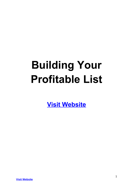# **Building Your Profitable List**

**[Visit Website](http://replug.link/f7ab3460/)**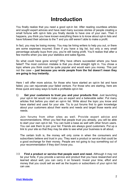## **Introduction**

You finally realize that you need a good opt-in list. After reading countless articles and sought expert advices and have read many success stories of people creating a small fortune with opt-in lists you finally decide to have one of your own. Then it happens, you think you have known everything there is to know about opt-in lists and have followed their advices to the T and you still weren't able to make a profit.

In fact, you may be losing money. You may be hiring writers to help you out, or there are some expenses incurred. Even if you have a big list, but only a very small percentage actually buys from you, you're still losing profit. You'll realize that after a few months when you see your statistics and sales figures.

So what could have gone wrong? Why have others succeeded where you have failed? The most common mistake is that you dived straight right in. You chose a topic where you think could be quite popular and would earn you money. This just not the case -- **just because you wrote people from the list doesn't mean they are going to buy instantly.**

Here I will offer more advice, for those who have started an opt-in list and have failed, you can rejuvenate your failed venture. For those who are starting, here are three quick and easy ways to build a profitable opt-in list.

1) **Get your customers to trust you and your products first.** Just launching your opt-in list would not make you an expert and a believable seller. Put many articles first before you start an opt-in list. Write about the topic you know and have started and used for your site. Try to put forums first to gain knowledge about your customers about their wants and needs and target those wants and needs.

Join forums from other sites as well. Provide expert advice and recommendations. When you feel that people trust you already, you will be able to start your own opt-in list. You can build a base as well with other forum users. You can ask them to join your list. Friends are always good customers. Put up a link to your site so that they may be able to see what your business is all about.

The certain truth is, the money will only come in when the consumers and subscribers believe and trust in you. They want a product or service that could be a good exchange for their money. People are not going to buy something out of your recommendation if they don't know you.

2) **Find a product or service that people want and need.** Although it may not be your forte, if you provide a service and product that you have researched and learned about well, you can carry it on forward. Invest your time, effort and money that you could sell as well as the buyers or subscribers of your opt-in list can use.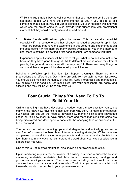While it is true that it is best to sell something that you have interest in, there are not many people who have the same interest as you if you decide to sell something that is not entirely popular or profitable. Do your research well and you would see the profits come in. Also provide your subscribers with promotional material that they could actually use and spread around.

3) **Make friends with other opt-in list users**. This is basically beneficial especially if it is someone who has already launched a successful opt-in list. These are people that have the experience in this venture and experience is still the best teacher. While there are many articles available for you in the internet to use, there is nothing like getting a first hand account from someone you trust.

Experienced opt-in list users will be able to tell you what to do and what not to do because they have gone through it. While different situations occur for different people, the general concept can still be very helpful. There are many things to avoid and these people will be able to tell you which ones.

Building a profitable opt-in list don't just happen overnight. There are many preparations and effort to do. Opt-in lists are built from scratch, as your list grows, you should also maintain the quality of your list. Keep it organized and manageable. Get or hire help if need be, just make sure that your subscribers are happy and satisfied and they will be willing to buy from you.

#### **Four Crucial Things You Need To Do To Build Your List**

Online marketing may have developed a sudden surge these past few years, but many in the know how have felt its rise even from way then. As more internet based businesses are put up, the need to develop new marketing skills and knowledge based on this new medium have arisen. More and more marketing strategies are being discovered and developed to cope with the changing face of business in the business world.

The demand for online marketing tips and strategies have drastically grown and a new form of business has been born, internet marketing strategies. While there are companies that are all too eager to help your site and business build a clientele for a fee, there also many ways that can spread the word about your sites subsistence in a more cost free way.

One of this is Opt-in email marketing, also known as permission marketing.

Opt-in marketing requires the permission of a willing customer to subscribe to your marketing materials, materials that take form in newsletters, catalogs and promotional mailings via e-mail. The more opt-in marketing mail is sent, the more chances there is to bag sales and more sales. To do this, you must build a list of all those who wants to subscribe to your opt-in marketing list.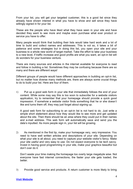From your list, you will get your targeted customer, this is a good list since they already have shown interest in what you have to show and sell since they have willingly signed in for your list.

These are the people who have liked what they have seen in your site and have decided they want to see more and maybe even purchase what ever product or service you have to offer.

Many people would think that building their lists would take hard work and a lot of time to build and collect names and addresses. This is not so, it takes a bit of patience and some strategies but in doing this list, you open your site and your business to a whole new world of target market. Take the effort to take your business to a new level, if traffic increase and good profits are what you want, an opt-in list will do wonders for your business venture.

There are many sources and articles in the internet available for everyone to read and follow in building a list. Sometimes they may be confusing because there are so many and there are different ways!

Different groups of people would have different approaches in building an opt-in list, but no matter how diverse many methods are, there are always some crucial things to do to build your list. Here are four of them.

1) Put up a good web form in your site that immediately follows the end of your content. While some may say this is too soon to subscribe for a website visitors application, try to remember that your homepage should provide a quick good impression. If somehow a website visitor finds something that he or she doesn't like and turns them off, they may just forget about signing up.

A good web form for subscribing to an opt-in list is not hard to do. Just write a simple short statement about how they would like to see more and get updated about the site. Then there should be an area where they could put in their names and e-mail address. This web form will automatically save and send you the data's inputted. As more people sign in, your list will be growing.

2) As mentioned in the first tip, make your homepage very, very impressive. You need to have well written articles and descriptions of your site. Depending on what your site is all about, you need to capture your website visitor's fancy. Make your site useful and very easy to use. Do not expect everyone to be tech savvy. Invest in having good programming in your site, make your graphics beautiful but don't over do it.

Don't waste your time making the homepage too overly large megabyte wise. Not everyone have fast internet connections, the faster your site gets loaded, the better.

3) Provide good service and products. A return customer is more likely to bring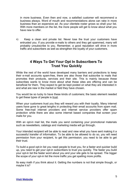in more business. Even then and now, a satisfied customer will recommend a business always. Word of mouth and recommendations alone can rake in more business than an expensive ad. As your clientele roster grows so shall your list. With more members on the list, the more people will get to know about what you have new to offer.

4) Keep a clean and private list. Never lose the trust your customers have entrusted you. If you provide e-mails to others and they get spammed, many will probably unsubscribe to you. Remember, a good reputation will drive in more traffic and subscribers as well as strengthen the loyalty of your customers.

#### **4 Ways To Get Your Opt In Subscribers To Trust You Quickly**

While the rest of the world have developed many barriers and protections to keep their e-mail accounts spam-free, there are also those that subscribe to mails that promotes their products, services and their site. This is mainly because these subscribes wants to know more about what these sites are offering and can be beneficial for them. They expect to get be kept posted on what they are interested in and what are new in the market or field they have chosen.

You would be so lucky to have these kinds of customers; the basic element needed to get these types of people is trust.

When your customers trust you they will reward you with their loyalty. Many internet users have gone to great lengths in protecting their email accounts from spam mail. Some free-mail internet providers and internet service providers offer spam protection while there are also some internet based companies that screen your mails for you.

With an opt-in mail list, the mails you send containing your promotional materials such as newsletters, catalogs and marketing media will go through.

Your intended recipient will be able to read and view what you have sent making it a successful transfer of information. To be able to be allowed to do so, you will need permission from your recipient, to get this permission; you need to be able to get their trust.

To build a good opt-in list you need people to trust you, for a faster and quicker build up, you need to get your opt-in subscribers to trust you quickly. The faster you build your opt-in list the faster word about you and your site gets to be spread. The bigger the scope of your opt-in list the more traffic you get spelling more profits.

Its easy math if you think about it. Getting the numbers is not that simple though, or maybe it is?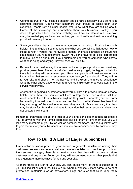- Getting the trust of your clientele shouldn't be so hard especially if you do have a legitimate business. Getting your customers' trust should be based upon your expertise. People rely on other people who know what they are talking about. Garner all the knowledge and information about your business. Frankly if you decide to go into a business most probably you have an interest in it. Like how many basketball payers become coaches, you don't really venture into something you don't have any interest in.
- Show your clients that you know what you are talking about. Provide them with helpful hints and guidelines that pertain to what you are selling. Talk about how to install a roof if you're into hardware products or provide articles on insurance settlements if you're a settlement lawyer. You don't have to be a big corporation to make use of an opt-in list. If your customers see you as someone who knows what he is doing and saying, they will trust you quickly.
- Be true to your customers, if you want to hype up your products and services, provide guarantees. The more satisfied customers you get, the bigger probability there is that they will recommend you. Generally, people will trust someone they know, when that someone recommends you then you're a shoo-in. They will go to your site and check it for themselves and be given a chance to experience what the other shave experienced from you, so make sure to be consistent in the service you provide.
- Another tip in getting a customer to trust you quickly is to provide them an escape hatch. Show them that you are not there to trap them. Keep a clean list that would enable them to unsubscribe anytime they want. Elaborate your web form by providing information on how to unsubscribe from the list. Guarantee them that they can let go of the service when ever they want to. Many are wary that they may be stuck for life and would have to abandon their email accounts when they get pestered with spam.

Remember that when you get the trust of your clients don't lose that trust. Because if you do anything with their email addresses like sell them or give them out, you will lose many members of your list as well as potential members. The true quickest way to gain the trust of your subscribers is when you are recommended by someone they trust.

#### **How To Build A List Of Eager Subscribers**

Every online business provides great service to generate satisfaction among their customers. As each and every customer receives satisfaction over their products or the services they get, there is a great chance that they will become a return customer and buy again. Better yet, they will recommend you to other people that could generate more business for you and your site.

As more traffic is driven to your site, you can entice many of them to subscribe to your mailing list or opt-in list. This is a list wherein website visitors agree to be sent promotional materials such as newsletters, blogs and such that could keep them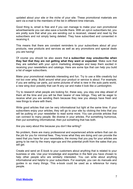updated about your site or the niche of your site. These promotional materials are sent via e-mail to the members of the list in different time intervals.

Good thing is, email is free and if you can manage to make your own promotional advertisements you can also save a bundle there. With an opt-in subscribers list, you are pretty sure that what you are sending out is received, viewed and read by the subscribers and not simply being deleted. They have subscribed and consented in receiving it.

This means that there are constant reminders to your subscribers about all your products, new products and services as well as any promotions and special deals you are having!

Of course you should be also aware that **a subscriber may unsubscribe when they feel that they are not getting what they want or expected**. Make sure that they are satisfied with your opt-in marketing strategies and keep them excited in receiving your newsletters and catalogs. Here are some tips that can help you build a list of eager subscribers.

Make your promotional materials interesting and fun. Try to use a little creativity but not too over artsy. Build around what your product or service is about. For example; if you are selling car parts, put some pictures of what is new in the auto parts world, a new wing door possibly that can fit any car and make it look like a Lamborghini.

Try to research what people are looking for, these way, you stay one step ahead of them all the time and you will be their bearer of new tidings. They will be eager to receive what you are sending them because they new you always have fresh and new things to share with them.

Write good articles that can be very informational but light at the same time. If your subscribers enjoy your articles, they will go to your site by clicking the links that you will be putting on your newsletter to read some more. You can provide articles that can connect to many people. Be diverse in your articles. Put something humorous, then put something informational, then put something that has both.

Are you wary about this because you don't like writing?

No problem, there are many professional and experienced article writers that can do the job for you for minimal fees. They know what they are doing and can provide the need that you have for your newsletters, the money that you pay for your articles are going to be met by the many sign-ups and the potential profit from the sales that you will get.

Create and send an E-book to your customers about anything that is related to your business or site. Use your knowledge and expertise in the field you have chosen to help other people who are similarly interested. You can write about anything informational and helpful to your subscribers. For example; you can do manuals and guides in so many things. This e-book could be used as a reference for many people.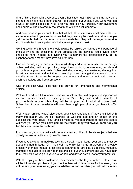Share this e-book with everyone, even other sites; just make sure that they don't change the links in the e-book that will lead people to your site. If you want, you can always get some people to write it for you just like your articles. Your investment once again will be covered by the great marketing this will generate.

Add e-coupons in your newsletters that will help them avail to special discounts. Put a control number in your e-coupon so that they can only be used once. When people get discounts that can be found in your newsletters, they will be eager to receive your newsletter in anticipation of what you are promoting next.

Getting customers in your site should always be ranked as high as the importance of the quality and the excellence of the product and the services you provide. They should go hand in hand in providing your customers the satisfaction they get in exchange for the money they have paid for them.

One of the ways you can **combine marketing and customer service** is through opt-in marketing. With an opt-in list you get the opportunity to introduce your site and products on a good time basis. Opt-in marketing strategy is a marketing strategy that is virtually low cost and not time consuming. Here, you get the consent of your website visitors to subscribe to your newsletters and other promotional materials such as catalogs and free promotions.

One of the best ways to do this is to provide fun, entertaining and informational articles.

Well written articles full of content and useful information will help in building your list as more subscribers will be enticed your list. When they have read the samples of your contents in your sites, they will be intrigued as to what will come next. Subscribing to your newsletter will offer them a glimpse of what you have to offer next.

Well written articles would also boost your sites reputation. If they are filled with many information you will be regarded as well informed and an expert on the subjects that you tackle. Your articles must be well researched so that the people will trust you. **When you have gained their trust, they will always come for you for their needs on that subject.**

In connection, you must write articles or commission them to tackle subjects that are closely connected with your type of business.

If you have a site for a medicine tackling a certain health issue, your articles must be about the health issue. Or if you sell materials for home improvements provide articles with those themes. Most articles searched for are tips, guidelines, methods, manuals and such. If you provide these articles to your customers and you have their trust, they will always go to your site for help and advice as well as for your products.

With the loyalty of these customers, they may subscribe to your opt-in list to receive all the information you have. If you provide them with the answers for that need, they will be happy to be receiving your newsletters as well as other promotional materials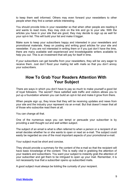to keep them well informed. Others may even forward your newsletters to other people when they find a certain article interesting.

You should provide links in your newsletter so that when other people are reading it and wants to read more, they may click on the link and go to your site. With the articles you have in your site that are good, they may decide to sign up as well for your opt-in list. This will build your list and make it bigger.

Make sure to keep your subscribers happy and interested in your newsletters and promotional materials. Keep on posting and writing good articles for your site and newsletter. If you are not interested in writing them or if you just don't have the time, there are many available well experienced and knowledgeable writers available to help you out. This is an investment that will pay for itself in time.

If your subscribers can get benefits from your newsletters, they will be very eager to receive them. Just don't flood your mailing list with mails so that you don't annoy your subscribers.

#### **How To Grab Your Readers Attention With Your Subject**

There are ways in which you don't have to pay so much to make yourself a good list of loyal followers. The secret? Have satisfied web traffic and visitors allows you to put up a foundation wherein you can build an opt-in list and make it grow from there.

When people sign up, they know that they will be receiving updates and news from your site and the industry your represent via an e-mail. But that doesn't mean that all of those who subscribe read them at all.

You can change all that.

One of the numerous ways you can tempt or persuade your subscriber is by providing a well thought out and well written subject.

The subject of an email is what is often referred to when a person or a recipient of an email decides whether he or she wants to open or read an e-mail. The subject could easily be regarded as one of the most important aspects of your promotional e-mail.

Your subject must be short and concise.

They should provide a summary for the content of the e-mail so that the recipient will have basic knowledge of the content. This is really vital in grabbing the attention of your readers and subscribers. You want your subject to instantly grab the attention of your subscriber and get them to be intrigued to open up your mail. Remember, it is not necessarily true that a subscriber opens up subscribed mails.

A good subject must always be tickling the curiosity of your recipient.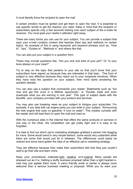It must literally force the recipient to open the mail.

A certain emotion must be ignited and get them to open the mail. It is essential to use specific words to get the reaction you need. Keep in mind that the recipient or subscribers spends only a few seconds looking over each subject of the e-mails he receives. *You must grab your reader's attention right away.*

There are many forms you can use for your subject. You can provide a subject that says your e-mail contains content that teaches them tips and methods on certain topics. An example of this is using keywords and keyword phrases such as, "How to", "tips", "Guides to", "Methods in" and others like that.

You can also put your subject in a question form.

These may include questions like, "Are you sick and tired of your job?" Or "Is your boss always on your case?"

Try to stay on the topic that pertains to your site so that you'll know that your subscribers have signed up because they are interested in that topic. This form of subject is very effective because they reach out to your recipients emotions. When they have read the question on your subject, their mind starts answering the question already.

You can also use a subject that commands your reader. Statements such as "Act now and get this once in a lifetime opportunity", or "Double, triple and even quadruple what you are earning in one year". This type of subject deals with the benefits your company provides with your product and services.

You may also use breaking news as your subject to intrigue your subscriber. For example, if you deal with car engine parts you can write in your subject, "Announcing the new engine that uses no gasoline. It runs on water". This creates curiosity with the reader and will lead them to open the mail and read on.

With the numerous sites in the internet that offers the same products or services in one way or the other, the competition can get pretty tight and it is easy to be forgotten.

It is best to find out which opt-in marketing strategies grabbed a person into begging for more. Some would send in very simple fashion, some would very outlandish while there are some that would just lie in between. The differences could easily be noticed and some have gotten the idea of an effective opt-in marketing strategy.

They are effective because they make their subscribers feel that they just couldn't wait to go their site and learn more.

Keep your promotional materials light, creative and original. Many people are stressed out as it is. Getting a stuffy business proposal rather than a light hearted email may just agitate them more. A warm friendly smile or banter is always more welcome than a serious business meeting or proposal. While you do want your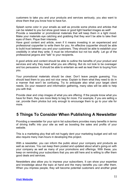customers to take you and your products and services seriously, you also want to show them that you know how to have fun.

Splash some color in your emails as well as provide some photos and articles that can be related to you but show good news or good light hearted images as well! Provide a newsletter or promotional materials that will keep them in a light mood. Make your materials eye catching and grabbing that they won't be able to take their eyes of them. Pique their interests.

Have good content and article, even if it means investing in an experienced and professional copywriter to write them for you. An effective copywriter should be able to build trust between you and your customers. They should be able to establish your credibility in what they write. It must be informative but not too stuffy. Let go of the professional jargons and "talk" to your recipients.

A good article and content should be able to outline the benefits of your product and services and why they need what you are offering. But do not look to be overeager and too persuasive. It should be able to entertain as well as lead them to buying from you.

Your promotional materials should be clear. Don't leave people guessing. You should lead them to you and not vice versa. Explain to them what they need to do in a manner that won't be confusing. Try to anticipate also what your target client needs. Do your research and information gathering, many sites will be able to help you with that.

Provide clear and crisp images of what you are offering. If the people know what you have for them, they are more likely to beg for more. For example, if you are selling a car, provide them photos but only enough to encourage them to go to your site for more.

#### **5 Things To Consider When Publishing A Newsletter**

Providing a newsletter for your opt-in list subscribers provides many benefits in terms of driving traffic into your site as well as boosting the sales and profits of your website.

This is a marketing ploy that will not hugely dent your marketing budget and will not also require many man-hours in developing this project.

With a newsletter, you can inform the public about your company and products as well as services. You can keep them posted and updated about what's going-on with your company as well as many of your promotions and offerings. With these, you keep on reminding your subscribers that you are still here and is willing to offer them good deals and services.

Newsletters also allow you to impress your subscribers. It can show your expertise and knowledge about the topic at hand and the many benefits you can offer them. When you impress people, they will become potential customers and another great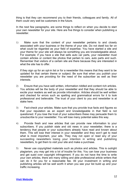thing is that they can recommend you to their friends, colleagues and family. All of them could very well be customers in the future.

In the next few paragraphs, are some things to reflect on when you decide to start your own newsletter for your site. Here are five things to consider when publishing a newsletter.

1) Make sure that the content of your newsletter pertains to and closely associated with your business or the theme of your site. Do not dwell too far on what could be regarded as your field of expertise. You have started a site and your theme for your site will always be something you are knowledgeable about. For example; if you have a site that sells auto car parts, your newsletter must contain articles or content like photos that pertain to cars, auto parts and such. Remember that visitors of a certain site are there because they are interested in what the site has to offer.

If they sign up for an opt-in list or for a newsletter this means that they want to be updated for that certain theme or subject. Be sure that when you publish your newsletter you are providing for the need of the subscriber as well as their interests.

- 2) Ensure that you have well written, information riddled and content rich articles. You articles will be the body of your newsletter and that they should be able to excite your readers as well as provide information. Articles should be well written and checked for errors such as spelling and grammatical errors for it to look professional and believable. The trust of your client to you and newsletter is at stake here.
- 3) Fact-check your articles. Make sure that you provide true facts and figures so that your reputation as an expert and knowledgeable in that field is not questioned. If you lose the trust of your subscribers these may persuade them to unsubscribe to your newsletter. You will lose many potential sales this way.
- 4) Provide fresh and new articles that can provide new information to your subscribers. If you publish stale and old news in your newsletter, there is a tendency that people or your subscribers already have read and known about them. This will lose their interest in your newsletter and they won't get to read what is most important, your ads. They may not open or read any of your succeeding newsletters losing your intention in writing and publishing newsletters, to get them to visit your site and make a purchase.
- 5) Never use copyrighted materials such as photos and articles. This is outright plagiarism, you may get into a lot of trouble for this. You can lose your business and get sued over copyright infringement. If you do not have the time to write your own articles, there are many willing and able professional article writers that can do it for you for a reasonable fee. All your investment in writing and publishing articles will be well worth it when you see your list build up and your traffic increasing.